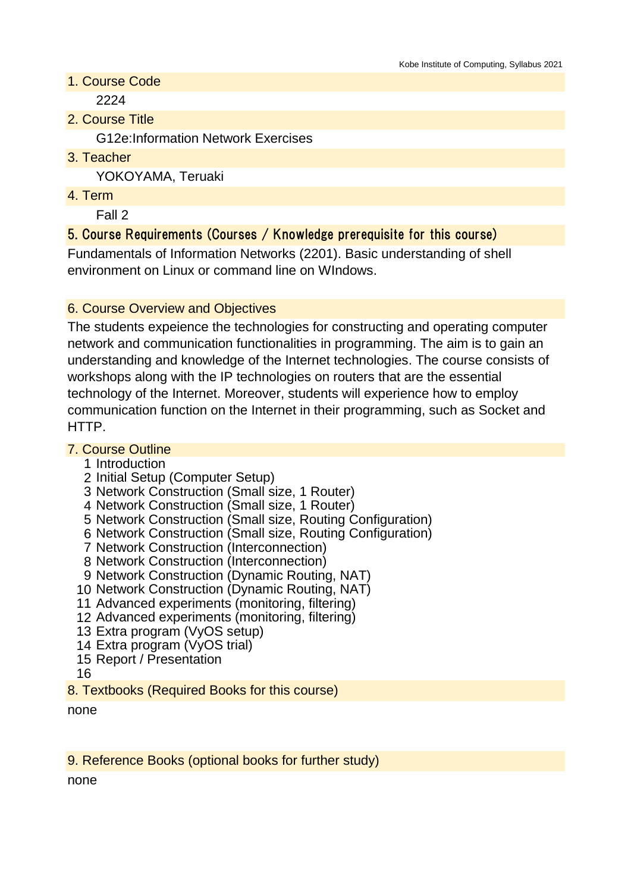1. Course Code

2224

2. Course Title

G12e:Information Network Exercises

3. Teacher

YOKOYAMA, Teruaki

4. Term

Fall 2

## 5. Course Requirements (Courses / Knowledge prerequisite for this course)

Fundamentals of Information Networks (2201). Basic understanding of shell environment on Linux or command line on WIndows.

### 6. Course Overview and Objectives

The students expeience the technologies for constructing and operating computer network and communication functionalities in programming. The aim is to gain an understanding and knowledge of the Internet technologies. The course consists of workshops along with the IP technologies on routers that are the essential technology of the Internet. Moreover, students will experience how to employ communication function on the Internet in their programming, such as Socket and HTTP.

#### 7. Course Outline

- 1 Introduction
- 2 Initial Setup (Computer Setup)
- 3 Network Construction (Small size, 1 Router)
- 4 Network Construction (Small size, 1 Router)
- 5 Network Construction (Small size, Routing Configuration)
- 6 Network Construction (Small size, Routing Configuration)
- 7 Network Construction (Interconnection)
- 8 Network Construction (Interconnection)
- 9 Network Construction (Dynamic Routing, NAT)
- 10 Network Construction (Dynamic Routing, NAT)
- 11 Advanced experiments (monitoring, filtering)
- 12 Advanced experiments (monitoring, filtering)
- 13 Extra program (VyOS setup)
- 14 Extra program (VyOS trial)
- 15 Report / Presentation
- 16
- 8. Textbooks (Required Books for this course)

none

#### 9. Reference Books (optional books for further study)

none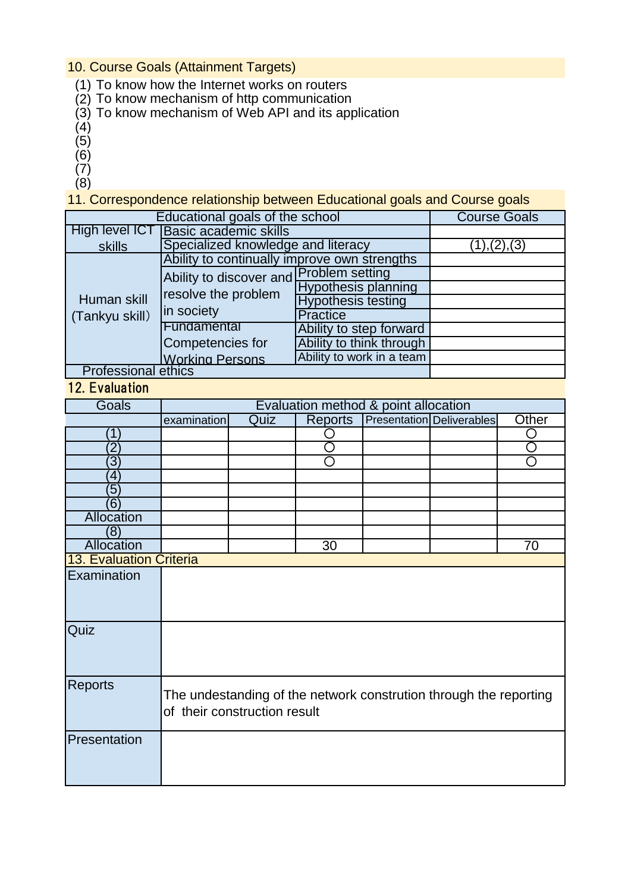### 10. Course Goals (Attainment Targets)

- (1) To know how the Internet works on routers
- (2) To know mechanism of http communication
- (3) To know mechanism of Web API and its application
- (4)
- (5)
- (6)
- $(7)$
- (8)

11. Correspondence relationship between Educational goals and Course goals

| Educational goals of the school | <b>Course Goals</b>                          |                            |  |
|---------------------------------|----------------------------------------------|----------------------------|--|
| High level ICT                  | <b>Basic academic skills</b>                 |                            |  |
| skills                          | Specialized knowledge and literacy           |                            |  |
| Human skill<br>(Tankyu skill)   | Ability to continually improve own strengths |                            |  |
|                                 | Ability to discover and Problem setting      |                            |  |
|                                 | resolve the problem<br>in society            | <b>Hypothesis planning</b> |  |
|                                 |                                              | <b>Hypothesis testing</b>  |  |
|                                 |                                              | Practice                   |  |
|                                 | Fundamental                                  | Ability to step forward    |  |
|                                 | Competencies for                             | Ability to think through   |  |
|                                 | <b>Working Persons</b>                       | Ability to work in a team  |  |
| Professional ethics             |                                              |                            |  |

<u>Professional ethics</u>

# 12. Evaluation

| Goals                          | Evaluation method & point allocation                                                              |      |                |  |                                  |       |
|--------------------------------|---------------------------------------------------------------------------------------------------|------|----------------|--|----------------------------------|-------|
|                                | examination                                                                                       | Quiz | <b>Reports</b> |  | <b>Presentation Deliverables</b> | Other |
| 1                              |                                                                                                   |      |                |  |                                  | 〔 〕   |
| $\overline{2}$                 |                                                                                                   |      |                |  |                                  |       |
| 3                              |                                                                                                   |      | ∩              |  |                                  | ∩     |
| $\overline{\mathbf{4}}$        |                                                                                                   |      |                |  |                                  |       |
| $\sqrt{5}$                     |                                                                                                   |      |                |  |                                  |       |
| (6)                            |                                                                                                   |      |                |  |                                  |       |
| Allocation                     |                                                                                                   |      |                |  |                                  |       |
| (8)                            |                                                                                                   |      |                |  |                                  |       |
| Allocation                     |                                                                                                   |      | 30             |  |                                  | 70    |
| <b>13. Evaluation Criteria</b> |                                                                                                   |      |                |  |                                  |       |
| Examination                    |                                                                                                   |      |                |  |                                  |       |
| Quiz                           |                                                                                                   |      |                |  |                                  |       |
| <b>Reports</b>                 | The undestanding of the network constrution through the reporting<br>of their construction result |      |                |  |                                  |       |
| Presentation                   |                                                                                                   |      |                |  |                                  |       |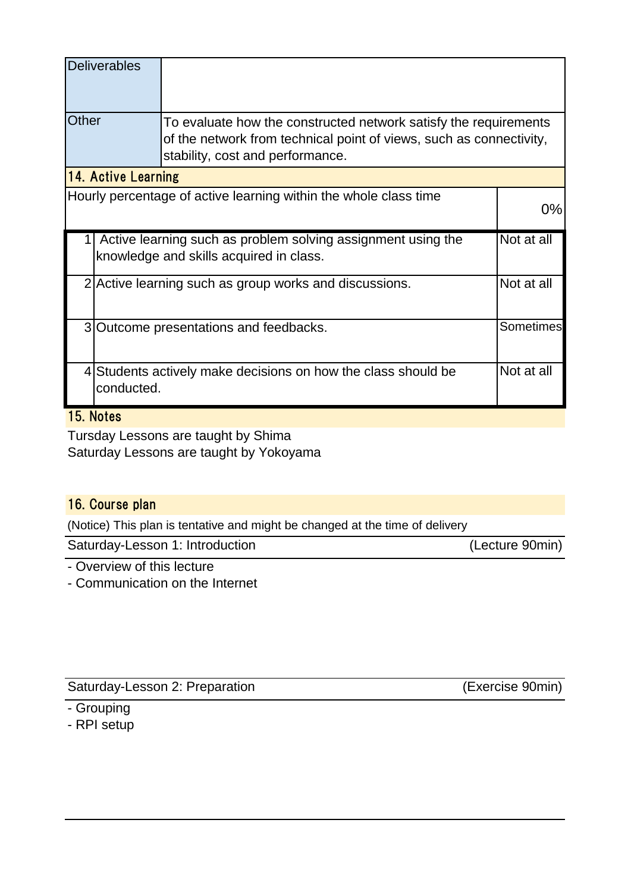|                                                                                                         | <b>Deliverables</b>                                    |                                                                                                                                                                             |            |  |  |
|---------------------------------------------------------------------------------------------------------|--------------------------------------------------------|-----------------------------------------------------------------------------------------------------------------------------------------------------------------------------|------------|--|--|
| Other                                                                                                   |                                                        | To evaluate how the constructed network satisfy the requirements<br>of the network from technical point of views, such as connectivity,<br>stability, cost and performance. |            |  |  |
| 14. Active Learning                                                                                     |                                                        |                                                                                                                                                                             |            |  |  |
| Hourly percentage of active learning within the whole class time                                        |                                                        |                                                                                                                                                                             |            |  |  |
| Active learning such as problem solving assignment using the<br>knowledge and skills acquired in class. |                                                        |                                                                                                                                                                             | Not at all |  |  |
|                                                                                                         | 2 Active learning such as group works and discussions. |                                                                                                                                                                             |            |  |  |
|                                                                                                         | 3 Outcome presentations and feedbacks.                 |                                                                                                                                                                             |            |  |  |
|                                                                                                         | conducted.                                             | 4 Students actively make decisions on how the class should be                                                                                                               | Not at all |  |  |

# 15. Notes

Tursday Lessons are taught by Shima Saturday Lessons are taught by Yokoyama

## 16. Course plan

(Notice) This plan is tentative and might be changed at the time of delivery

Saturday-Lesson 1: Introduction (Lecture 90min)

- Overview of this lecture

- Communication on the Internet

Saturday-Lesson 2: Preparation (Exercise 90min)

- Grouping

- RPI setup